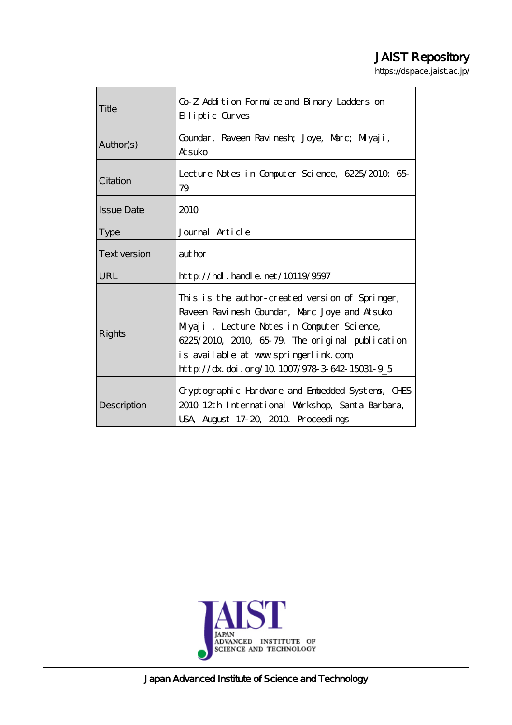# JAIST Repository

https://dspace.jaist.ac.jp/

| Title               | Co Z Addition Formulæ and Binary Ladders on<br>Elliptic Curves                                                                                                                                                                                                                              |  |  |
|---------------------|---------------------------------------------------------------------------------------------------------------------------------------------------------------------------------------------------------------------------------------------------------------------------------------------|--|--|
| Author(s)           | Goundar, Raveen Ravinesh; Joye, Marc; Miyaji,<br><b>Atsuko</b>                                                                                                                                                                                                                              |  |  |
| Citation            | Lecture Notes in Computer Science, 6225/2010 65<br>79                                                                                                                                                                                                                                       |  |  |
| <b>Issue Date</b>   | 2010                                                                                                                                                                                                                                                                                        |  |  |
| <b>Type</b>         | Journal Article                                                                                                                                                                                                                                                                             |  |  |
| <b>Text version</b> | aut hor                                                                                                                                                                                                                                                                                     |  |  |
| URL                 | $\frac{1}{2}$ // $\frac{1}{2}$ // $\frac{1}{2}$ . $\frac{1}{2}$ and e. net /10119/9597                                                                                                                                                                                                      |  |  |
| Rights              | This is the author-created version of Springer,<br>Raveen Ravinesh Goundar, Marc Joye and Atsuko<br>Miyaji, Lecture Notes in Computer Science,<br>6225/2010, 2010, 65-79. The original publication<br>is available at www.springerlink.com<br>http://dx.doi.org/10.1007/978-3-642-15031-9_5 |  |  |
| Description         | Cryptographic Hardware and Enbedded Systems, CHS<br>2010 12th International Workshop, Santa Barbara,<br>USA August 17-20, 2010. Proceedings                                                                                                                                                 |  |  |



Japan Advanced Institute of Science and Technology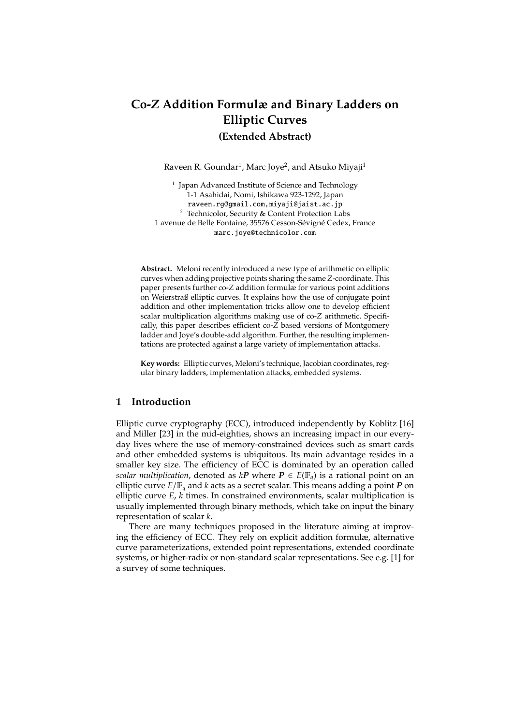# **Co-***Z* **Addition Formulæ and Binary Ladders on Elliptic Curves (Extended Abstract)**

Raveen R. Goundar<sup>1</sup>, Marc Joye<sup>2</sup>, and Atsuko Miyaji<sup>1</sup>

<sup>1</sup> Japan Advanced Institute of Science and Technology 1-1 Asahidai, Nomi, Ishikawa 923-1292, Japan raveen.rg@gmail.com,miyaji@jaist.ac.jp <sup>2</sup> Technicolor, Security & Content Protection Labs 1 avenue de Belle Fontaine, 35576 Cesson-Sévigné Cedex, France marc.joye@technicolor.com

**Abstract.** Meloni recently introduced a new type of arithmetic on elliptic curves when adding projective points sharing the same *Z*-coordinate. This paper presents further co-*Z* addition formulæ for various point additions on Weierstraß elliptic curves. It explains how the use of conjugate point addition and other implementation tricks allow one to develop efficient scalar multiplication algorithms making use of co-*Z* arithmetic. Specifically, this paper describes efficient co-*Z* based versions of Montgomery ladder and Joye's double-add algorithm. Further, the resulting implementations are protected against a large variety of implementation attacks.

**Key words:** Elliptic curves, Meloni's technique, Jacobian coordinates, regular binary ladders, implementation attacks, embedded systems.

# **1 Introduction**

Elliptic curve cryptography (ECC), introduced independently by Koblitz [16] and Miller [23] in the mid-eighties, shows an increasing impact in our everyday lives where the use of memory-constrained devices such as smart cards and other embedded systems is ubiquitous. Its main advantage resides in a smaller key size. The efficiency of ECC is dominated by an operation called *scalar multiplication*, denoted as  $kP$  where  $P \in E(\mathbb{F}_q)$  is a rational point on an elliptic curve  $E/\mathbb{F}_q$  and *k* acts as a secret scalar. This means adding a point *P* on elliptic curve *E*, *k* times. In constrained environments, scalar multiplication is usually implemented through binary methods, which take on input the binary representation of scalar *k*.

There are many techniques proposed in the literature aiming at improving the efficiency of ECC. They rely on explicit addition formulæ, alternative curve parameterizations, extended point representations, extended coordinate systems, or higher-radix or non-standard scalar representations. See e.g. [1] for a survey of some techniques.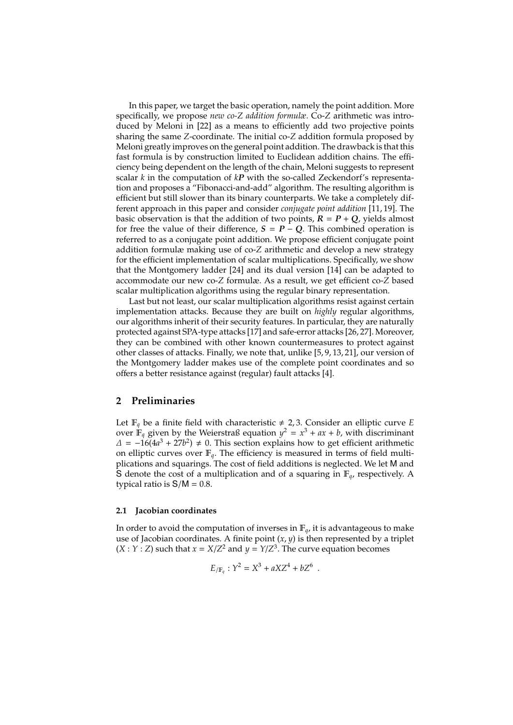In this paper, we target the basic operation, namely the point addition. More specifically, we propose *new co-Z addition formulæ*. Co-*Z* arithmetic was introduced by Meloni in [22] as a means to efficiently add two projective points sharing the same *Z*-coordinate. The initial co-*Z* addition formula proposed by Meloni greatly improves on the general point addition. The drawback is that this fast formula is by construction limited to Euclidean addition chains. The efficiency being dependent on the length of the chain, Meloni suggests to represent scalar *k* in the computation of *kP* with the so-called Zeckendorf's representation and proposes a "Fibonacci-and-add" algorithm. The resulting algorithm is efficient but still slower than its binary counterparts. We take a completely different approach in this paper and consider *conjugate point addition* [11, 19]. The basic observation is that the addition of two points,  $R = P + Q$ , yields almost for free the value of their difference,  $S = P - Q$ . This combined operation is referred to as a conjugate point addition. We propose efficient conjugate point addition formulæ making use of co-*Z* arithmetic and develop a new strategy for the efficient implementation of scalar multiplications. Specifically, we show that the Montgomery ladder [24] and its dual version [14] can be adapted to accommodate our new co-*Z* formulæ. As a result, we get efficient co-*Z* based scalar multiplication algorithms using the regular binary representation.

Last but not least, our scalar multiplication algorithms resist against certain implementation attacks. Because they are built on *highly* regular algorithms, our algorithms inherit of their security features. In particular, they are naturally protected against SPA-type attacks [17] and safe-error attacks [26, 27]. Moreover, they can be combined with other known countermeasures to protect against other classes of attacks. Finally, we note that, unlike [5, 9, 13, 21], our version of the Montgomery ladder makes use of the complete point coordinates and so offers a better resistance against (regular) fault attacks [4].

## **2 Preliminaries**

Let  $\mathbb{F}_q$  be a finite field with characteristic  $\neq 2, 3$ . Consider an elliptic curve *E* over  $\dot{\mathbb{F}}_q$  given by the Weierstraß equation  $y^2 = x^3 + ax + b$ , with discriminant  $\Delta$  =  $-16(4a^3 + 27b^2)$  ≠ 0. This section explains how to get efficient arithmetic on elliptic curves over  $\mathbb{F}_q$ . The efficiency is measured in terms of field multiplications and squarings. The cost of field additions is neglected. We let M and S denote the cost of a multiplication and of a squaring in  $\mathbb{F}_q$ , respectively. A typical ratio is  $S/M = 0.8$ .

#### **2.1 Jacobian coordinates**

In order to avoid the computation of inverses in  $\mathbb{F}_q$ , it is advantageous to make use of Jacobian coordinates. A finite point  $(x, y)$  is then represented by a triplet  $(X:Y:Z)$  such that  $x = X/Z^2$  and  $y = Y/Z^3$ . The curve equation becomes

$$
E_{/\mathbb{F}_q}: Y^2 = X^3 + aXZ^4 + bZ^6.
$$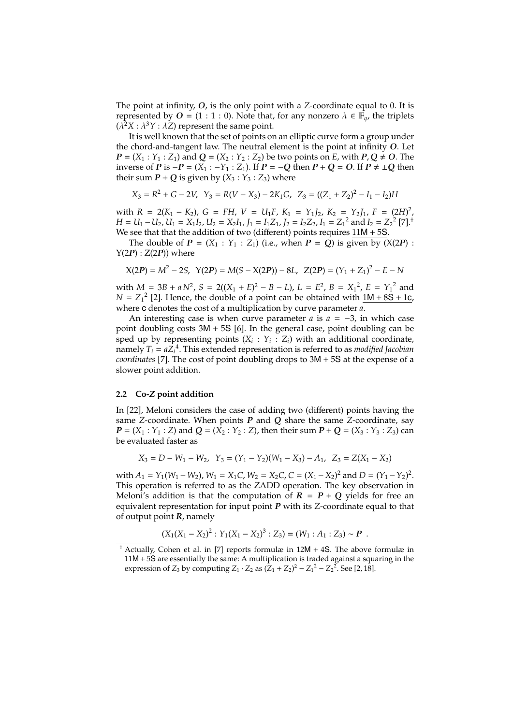The point at infinity, *O*, is the only point with a *Z*-coordinate equal to 0. It is represented by *O* = (1 : 1 : 0). Note that, for any nonzero  $\lambda \in \mathbb{F}_q$ , the triplets  $(\lambda^2 X : \lambda^3 Y : \lambda Z)$  represent the same point.

It is well known that the set of points on an elliptic curve form a group under the chord-and-tangent law. The neutral element is the point at infinity *O*. Let *P* = (*X*<sub>1</sub> : *Y*<sub>1</sub> : *Z*<sub>1</sub>) and *Q* = (*X*<sub>2</sub> : *Y*<sub>2</sub> : *Z*<sub>2</sub>) be two points on *E*, with *P*, *Q*  $\neq$  *O*. The inverse of *P* is −*P* = (*X*<sub>1</sub> : −*Y*<sub>1</sub> : *Z*<sub>1</sub>). If *P* = −*Q* then *P* + *Q* = *O*. If *P*  $\neq \pm Q$  then their sum  $P + Q$  is given by  $(X_3 : Y_3 : Z_3)$  where

$$
X_3 = R^2 + G - 2V, \ Y_3 = R(V - X_3) - 2K_1G, \ Z_3 = ((Z_1 + Z_2)^2 - I_1 - I_2)H
$$

with  $R = 2(K_1 - K_2)$ ,  $G = FH$ ,  $V = U_1F$ ,  $K_1 = Y_1J_2$ ,  $K_2 = Y_2J_1$ ,  $F = (2H)^2$ , *H* = *U*<sub>1</sub> − *U*<sub>2</sub>, *U*<sub>1</sub> = *X*<sub>1</sub>*I*<sub>2</sub>, *U*<sub>2</sub> = *X*<sub>2</sub>*I*<sub>1</sub>, *J*<sub>1</sub> = *I*<sub>1</sub>*Z*<sub>1</sub>, *J*<sub>2</sub> = *I*<sub>2</sub>*Z*<sub>2</sub>, *I*<sub>1</sub> = *Z*<sub>1</sub><sup>2</sup> and *I*<sub>2</sub> = *Z*<sub>2</sub><sup>2</sup> [7].<sup>†</sup> We see that that the addition of two (different) points requires  $11M + 5S$ .

The double of  $P = (X_1 : Y_1 : Z_1)$  (i.e., when  $P = Q$ ) is given by  $(X(2P) :$  $Y(2P)$ :  $Z(2P)$ ) where

$$
X(2P) = M^2 - 2S, \ Y(2P) = M(S - X(2P)) - 8L, \ Z(2P) = (Y_1 + Z_1)^2 - E - N
$$

with  $M = 3B + aN^2$ ,  $S = 2((X_1 + E)^2 - B - L)$ ,  $L = E^2$ ,  $B = X_1^2$ ,  $E = Y_1^2$  and  $N = Z_1^2$  [2]. Hence, the double of a point can be obtained with  $\underline{1M + 8S + 1c}$ , where c denotes the cost of a multiplication by curve parameter *a*.

An interesting case is when curve parameter *a* is *a* = −3, in which case point doubling costs 3M + 5S [6]. In the general case, point doubling can be sped up by representing points  $(X_i: Y_i: Z_i)$  with an additional coordinate, namely  $T_i = aZ_i^4$ . This extended representation is referred to as *modified Jacobian coordinates* [7]. The cost of point doubling drops to 3M + 5S at the expense of a slower point addition.

#### **2.2 Co-***Z* **point addition**

In [22], Meloni considers the case of adding two (different) points having the same *Z*-coordinate. When points *P* and *Q* share the same *Z*-coordinate, say *P* = (*X*<sub>1</sub> : *Y*<sub>1</sub> : *Z*) and *Q* = (*X*<sub>2</sub> : *Y*<sub>2</sub> : *Z*), then their sum *P* + *Q* = (*X*<sub>3</sub> : *Y*<sub>3</sub> : *Z*<sub>3</sub>) can be evaluated faster as

$$
X_3 = D - W_1 - W_2, \ \ Y_3 = (Y_1 - Y_2)(W_1 - X_3) - A_1, \ \ Z_3 = Z(X_1 - X_2)
$$

with  $A_1 = Y_1(W_1 - W_2)$ ,  $W_1 = X_1C$ ,  $W_2 = X_2C$ ,  $C = (X_1 - X_2)^2$  and  $D = (Y_1 - Y_2)^2$ . This operation is referred to as the ZADD operation. The key observation in Meloni's addition is that the computation of  $R = P + Q$  yields for free an equivalent representation for input point *P* with its *Z*-coordinate equal to that of output point *R*, namely

$$
(X_1(X_1 - X_2)^2 : Y_1(X_1 - X_2)^3 : Z_3) = (W_1 : A_1 : Z_3) \sim P.
$$

<sup>†</sup> Actually, Cohen et al. in [7] reports formulæ in 12M + 4S. The above formulæ in 11M + 5S are essentially the same: A multiplication is traded against a squaring in the expression of *Z*<sub>3</sub> by computing *Z*<sub>1</sub> · *Z*<sub>2</sub> as  $(Z_1 + Z_2)^2 - Z_1^2 - Z_2^2$ . See [2, 18].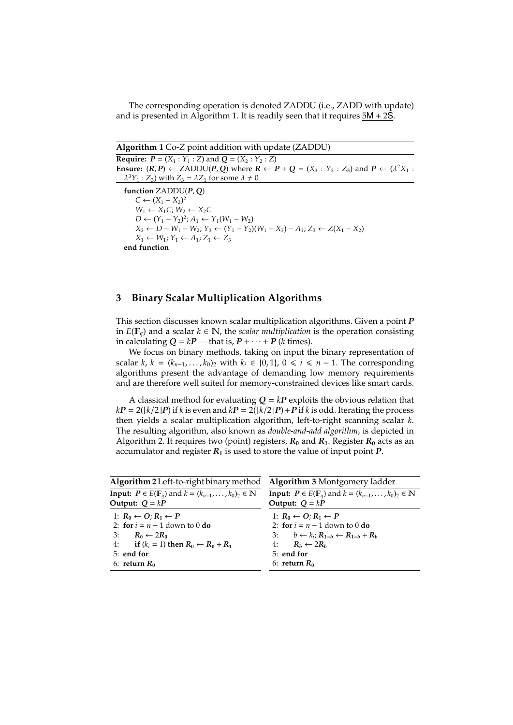The corresponding operation is denoted ZADDU (i.e., ZADD with update) and is presented in Algorithm 1. It is readily seen that it requires  $5M + 2S$ .

**Algorithm 1** Co-*Z* point addition with update (ZADDU)

**Require:**  $P = (X_1 : Y_1 : Z)$  and  $Q = (X_2 : Y_2 : Z)$ **Ensure:**  $(R, P) \leftarrow \text{ZADDU}(P, Q)$  where  $R \leftarrow P + Q = (X_3 : Y_3 : Z_3)$  and  $P \leftarrow (\lambda^2 X_1 : Z_3)$  $\lambda^3 Y_1$ : *Z*<sub>3</sub>) with *Z*<sub>3</sub> =  $\lambda Z_1$  for some  $\lambda \neq 0$ **function** ZADDU(*P*, *Q*)  $C$  ←  $(X_1 - X_2)^2$  $W_1 \leftarrow X_1 C$ ;  $W_2 \leftarrow X_2 C$ *D* ←  $(Y_1 - Y_2)^2$ ;  $A_1$  ←  $Y_1(W_1 - W_2)$ *X*<sub>3</sub> ← *D* − *W*<sub>1</sub> − *W*<sub>2</sub>; *Y*<sub>3</sub> ← (*Y*<sub>1</sub> − *Y*<sub>2</sub>)(*W*<sub>1</sub> − *X*<sub>3</sub>) − *A*<sub>1</sub>; *Z*<sub>3</sub> ← *Z*(*X*<sub>1</sub> − *X*<sub>2</sub>)  $X_1 \leftarrow W_1$ ;  $Y_1 \leftarrow A_1$ ;  $Z_1 \leftarrow Z_3$ **end function**

# **3 Binary Scalar Multiplication Algorithms**

This section discusses known scalar multiplication algorithms. Given a point *P* in *E*(F*q*) and a scalar *k* ∈ N, the *scalar multiplication* is the operation consisting in calculating  $Q = kP$  — that is,  $P + \cdots + P$  (*k* times).

We focus on binary methods, taking on input the binary representation of scalar *k*,  $k = (k_{n-1}, \ldots, k_0)_2$  with  $k_i \in \{0, 1\}$ ,  $0 \le i \le n - 1$ . The corresponding algorithms present the advantage of demanding low memory requirements and are therefore well suited for memory-constrained devices like smart cards.

A classical method for evaluating  $Q = kP$  exploits the obvious relation that  $kP = 2(\lfloor k/2 \rfloor P)$  if *k* is even and  $kP = 2(\lfloor k/2 \rfloor P) + P$  if *k* is odd. Iterating the process then yields a scalar multiplication algorithm, left-to-right scanning scalar *k*. The resulting algorithm, also known as *double-and-add algorithm*, is depicted in Algorithm 2. It requires two (point) registers, *R***<sup>0</sup>** and *R***1**. Register *R***<sup>0</sup>** acts as an accumulator and register *R***<sup>1</sup>** is used to store the value of input point *P*.

| Algorithm 2 Left-to-right binary method Algorithm 3 Montgomery ladder                   |                                                                                         |  |  |
|-----------------------------------------------------------------------------------------|-----------------------------------------------------------------------------------------|--|--|
| <b>Input:</b> $P \in E(\mathbb{F}_q)$ and $k = (k_{n-1}, \ldots, k_0)_2 \in \mathbb{N}$ | <b>Input:</b> $P \in E(\mathbb{F}_q)$ and $k = (k_{n-1}, \ldots, k_0)_2 \in \mathbb{N}$ |  |  |
| Output: $Q = kP$                                                                        | Output: $Q = kP$                                                                        |  |  |
| 1: $R_0 \leftarrow O$ ; $R_1 \leftarrow P$                                              | 1: $R_0 \leftarrow O$ ; $R_1 \leftarrow P$                                              |  |  |
| 2: for $i = n - 1$ down to 0 do                                                         | 2: for $i = n - 1$ down to 0 do                                                         |  |  |
| 3: $R_0 \leftarrow 2R_0$                                                                | 3: $b \leftarrow k_i$ ; $R_{1-h} \leftarrow R_{1-h} + R_h$                              |  |  |
| 4: if $(k_i = 1)$ then $R_0 \leftarrow R_0 + R_1$                                       | 4: $R_h \leftarrow 2R_h$                                                                |  |  |
| $5:$ end for                                                                            | $5:$ end for                                                                            |  |  |
| 6: return $R_0$                                                                         | 6: return $R_0$                                                                         |  |  |
|                                                                                         |                                                                                         |  |  |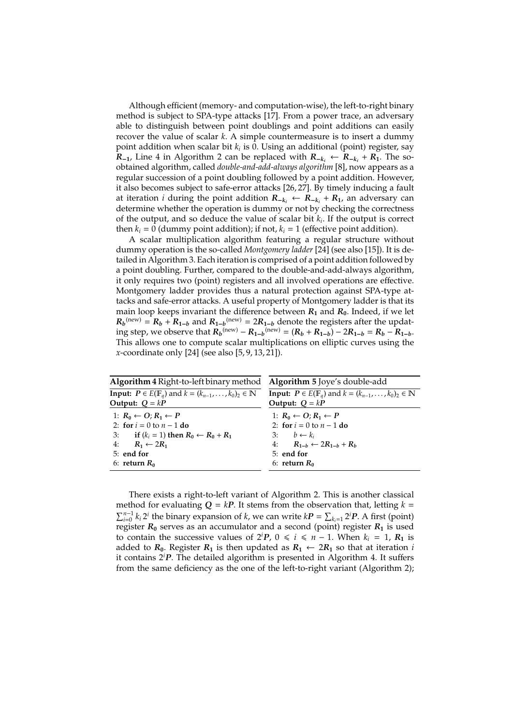Although efficient (memory- and computation-wise), the left-to-right binary method is subject to SPA-type attacks [17]. From a power trace, an adversary able to distinguish between point doublings and point additions can easily recover the value of scalar *k*. A simple countermeasure is to insert a dummy point addition when scalar bit *k<sup>i</sup>* is 0. Using an additional (point) register, say *R*−**1**, Line 4 in Algorithm 2 can be replaced with  $R_{-k_i}$  ←  $R_{-k_i}$  +  $R_1$ . The soobtained algorithm, called *double-and-add-always algorithm* [8], now appears as a regular succession of a point doubling followed by a point addition. However, it also becomes subject to safe-error attacks [26, 27]. By timely inducing a fault at iteration *i* during the point addition *R*<sup>−</sup>*k<sup>i</sup>* ← *R*<sup>−</sup>*k<sup>i</sup>* + *R***1**, an adversary can determine whether the operation is dummy or not by checking the correctness of the output, and so deduce the value of scalar bit *k<sup>i</sup>* . If the output is correct then  $k_i = 0$  (dummy point addition); if not,  $k_i = 1$  (effective point addition).

A scalar multiplication algorithm featuring a regular structure without dummy operation is the so-called *Montgomery ladder* [24] (see also [15]). It is detailed in Algorithm 3. Each iteration is comprised of a point addition followed by a point doubling. Further, compared to the double-and-add-always algorithm, it only requires two (point) registers and all involved operations are effective. Montgomery ladder provides thus a natural protection against SPA-type attacks and safe-error attacks. A useful property of Montgomery ladder is that its main loop keeps invariant the difference between  $R_1$  and  $R_0$ . Indeed, if we let  $R_b$ <sup>(new)</sup> =  $R_b$  +  $R_{1-b}$  and  $R_{1-b}$ <sup>(new)</sup> =  $2R_{1-b}$  denote the registers after the updating step, we observe that  $R_b^{(new)} - R_{1-b}^{(new)} = (R_b + R_{1-b}) - 2R_{1-b} = R_b - R_{1-b}$ . This allows one to compute scalar multiplications on elliptic curves using the *x*-coordinate only [24] (see also [5, 9, 13, 21]).

| Algorithm 4 Right-to-left binary method                                                 | Algorithm 5 Joye's double-add                                                           |  |  |  |
|-----------------------------------------------------------------------------------------|-----------------------------------------------------------------------------------------|--|--|--|
| <b>Input:</b> $P \in E(\mathbb{F}_q)$ and $k = (k_{n-1}, \ldots, k_0)_2 \in \mathbb{N}$ | <b>Input:</b> $P \in E(\mathbb{F}_q)$ and $k = (k_{n-1}, \ldots, k_0)_2 \in \mathbb{N}$ |  |  |  |
| Output: $Q = kP$                                                                        | Output: $Q = kP$                                                                        |  |  |  |
| 1: $R_0 \leftarrow O$ ; $R_1 \leftarrow P$                                              | 1: $R_0 \leftarrow O$ ; $R_1 \leftarrow P$                                              |  |  |  |
| 2: for $i = 0$ to $n - 1$ do                                                            | 2: for $i = 0$ to $n - 1$ do                                                            |  |  |  |
| 3: if $(k_i = 1)$ then $R_0 \leftarrow R_0 + R_1$                                       | 3: $b \leftarrow k_i$                                                                   |  |  |  |
| 4: $R_1 \leftarrow 2R_1$                                                                | 4: $R_{1-h} \leftarrow 2R_{1-h} + R_h$                                                  |  |  |  |
| 5: end for                                                                              | $5:$ end for                                                                            |  |  |  |
| 6: return $R_0$                                                                         | 6: return $R_0$                                                                         |  |  |  |
|                                                                                         |                                                                                         |  |  |  |

There exists a right-to-left variant of Algorithm 2. This is another classical method for evaluating  $Q = kP$ . It stems from the observation that, letting  $k =$  $\sum_{i=0}^{n-1} k_i 2^i$  the binary expansion of *k*, we can write *kP* =  $\sum_{k_i=1} 2^i P$ . A first (point) register  $R_0$  serves as an accumulator and a second (point) register  $R_1$  is used to contain the successive values of  $2^{i}P$ ,  $0 \le i \le n - 1$ . When  $k_i = 1$ ,  $R_1$  is added to  $R_0$ . Register  $R_1$  is then updated as  $R_1 \leftarrow 2R_1$  so that at iteration *i* it contains 2*<sup>i</sup>P*. The detailed algorithm is presented in Algorithm 4. It suffers from the same deficiency as the one of the left-to-right variant (Algorithm 2);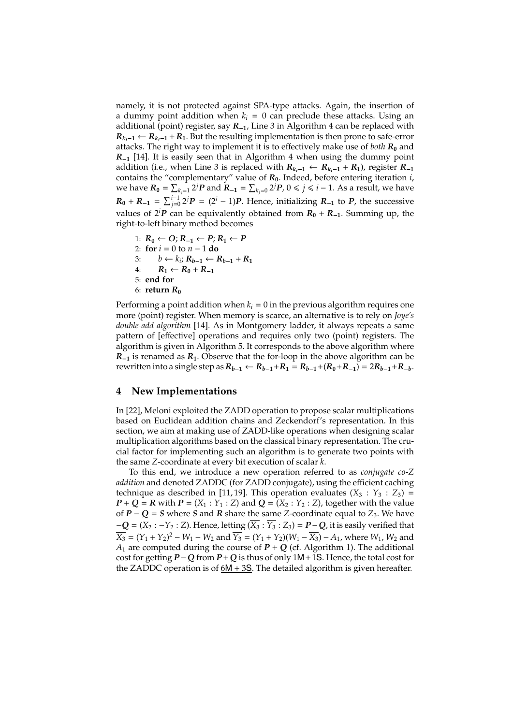namely, it is not protected against SPA-type attacks. Again, the insertion of a dummy point addition when  $k_i = 0$  can preclude these attacks. Using an additional (point) register, say *R*<sup>−</sup>**1**, Line 3 in Algorithm 4 can be replaced with  $R_{k-1}$  ←  $R_{k-1}$  +  $R_1$ . But the resulting implementation is then prone to safe-error attacks. The right way to implement it is to effectively make use of *both*  $R_0$  and *R*<sup>−</sup>**<sup>1</sup>** [14]. It is easily seen that in Algorithm 4 when using the dummy point addition (i.e., when Line 3 is replaced with  $R_{k_i-1}$  ←  $R_{k_i-1}$  +  $R_1$ ), register  $R_{-1}$ contains the "complementary" value of *R***0**. Indeed, before entering iteration *i*, we have  $R_0 = \sum_{k_j=1}^{\infty} 2^j P$  and  $R_{-1} = \sum_{k_j=0}^{\infty} 2^j P$ ,  $0 \leqslant j \leqslant i-1$ . As a result, we have  $R_0 + R_{-1} = \sum_{j=0}^{i-1} 2^j P = (2^i - 1)P$ . Hence, initializing  $R_{-1}$  to  $P$ , the successive values of  $2^{i}P$  can be equivalently obtained from  $R_0 + R_{-1}$ . Summing up, the right-to-left binary method becomes

1:  $R_0$  ←  $O$ ;  $R_{-1}$  ←  $P$ ;  $R_1$  ←  $P$ 2: **for** *i* = 0 to *n* − 1 **do** 3: *b* ←  $k_i$ ;  $R_{b-1}$  ←  $R_{b-1}$  +  $R_1$ 4:  $R_1 \leftarrow R_0 + R_{-1}$ 5: **end for** 6: **return** *R***<sup>0</sup>**

Performing a point addition when  $k_i = 0$  in the previous algorithm requires one more (point) register. When memory is scarce, an alternative is to rely on *Joye's double-add algorithm* [14]. As in Montgomery ladder, it always repeats a same pattern of [effective] operations and requires only two (point) registers. The algorithm is given in Algorithm 5. It corresponds to the above algorithm where *R*−**<sup>1</sup>** is renamed as *R***1**. Observe that the for-loop in the above algorithm can be rewritten into a single step as  $R_{b-1} \leftarrow R_{b-1} + R_1 = R_{b-1} + (R_0 + R_{-1}) = 2R_{b-1} + R_{-b}$ .

# **4 New Implementations**

In [22], Meloni exploited the ZADD operation to propose scalar multiplications based on Euclidean addition chains and Zeckendorf's representation. In this section, we aim at making use of ZADD-like operations when designing scalar multiplication algorithms based on the classical binary representation. The crucial factor for implementing such an algorithm is to generate two points with the same *Z*-coordinate at every bit execution of scalar *k*.

To this end, we introduce a new operation referred to as *conjugate co-Z addition* and denoted ZADDC (for ZADD conjugate), using the efficient caching technique as described in [11, 19]. This operation evaluates  $(X_3 : Y_3 : Z_3) =$ *P* + *Q* = *R* with *P* = (*X*<sub>1</sub> : *Y*<sub>1</sub> : *Z*) and *Q* = (*X*<sub>2</sub> : *Y*<sub>2</sub> : *Z*), together with the value of  $P$  −  $Q$  = *S* where *S* and *R* share the same *Z*-coordinate equal to  $Z_3$ . We have  $-Q = (X_2 : -Y_2 : Z)$ . Hence, letting  $(\overline{X_3} : \overline{Y_3} : Z_3) = P - Q$ , it is easily verified that  $\overline{X_3} = (Y_1 + Y_2)^2 - W_1 - W_2$  and  $\overline{Y_3} = (Y_1 + Y_2)(W_1 - \overline{X_3}) - A_1$ , where  $W_1$ ,  $W_2$  and  $A_1$  are computed during the course of  $P + Q$  (cf. Algorithm 1). The additional cost for getting *P*−*Q* from *P*+*Q* is thus of only 1M+1S. Hence, the total cost for the ZADDC operation is of 6M + 3S. The detailed algorithm is given hereafter.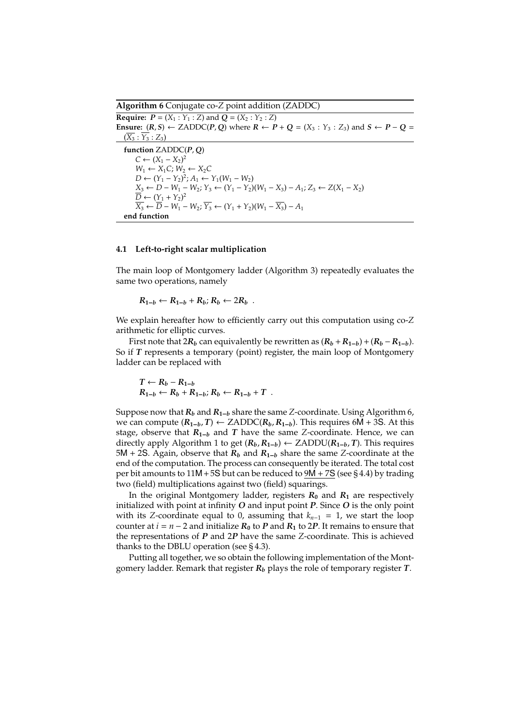**Algorithm 6** Conjugate co-*Z* point addition (ZADDC) **Require:**  $P = (X_1 : Y_1 : Z)$  and  $Q = (X_2 : Y_2 : Z)$ **Ensure:** (*R*, *S*) ← ZADDC(*P*, *Q*) where  $R \leftarrow P + Q = (X_3 : Y_3 : Z_3)$  and  $S \leftarrow P - Q =$  $(\overline{X_3} : \overline{Y_3} : Z_3)$ **function** ZADDC(*P*, *Q*)  $C$  ←  $(X_1 - X_2)^2$  $W_1 \leftarrow X_1 C; W_2 \leftarrow X_2 C$ *D* ←  $(Y_1 - Y_2)^2$ ;  $A_1$  ←  $Y_1(W_1 - W_2)$ *X*<sub>3</sub> ← *D* − *W*<sub>1</sub> − *W*<sub>2</sub>; *Y*<sub>3</sub> ← (*Y*<sub>1</sub> − *Y*<sub>2</sub>)(*W*<sub>1</sub> − *X*<sub>3</sub>) − *A*<sub>1</sub>; *Z*<sub>3</sub> ← *Z*(*X*<sub>1</sub> − *X*<sub>2</sub>)  $\overline{D} \leftarrow (Y_1 + Y_2)^2$ *X*<sub>3</sub> ←  $\overline{D}$  – *W*<sub>1</sub> – *W*<sub>2</sub>;  $\overline{Y_3}$  ←  $(Y_1 + Y_2)(W_1 - \overline{X_3}) - A_1$ **end function**

#### **4.1 Left-to-right scalar multiplication**

The main loop of Montgomery ladder (Algorithm 3) repeatedly evaluates the same two operations, namely

$$
R_{1-b} \leftarrow R_{1-b} + R_b; R_b \leftarrow 2R_b.
$$

We explain hereafter how to efficiently carry out this computation using co-*Z* arithmetic for elliptic curves.

First note that 2 $R_b$  can equivalently be rewritten as  $(R_b + R_{1-b}) + (R_b - R_{1-b})$ . So if *T* represents a temporary (point) register, the main loop of Montgomery ladder can be replaced with

$$
T \leftarrow R_b - R_{1-b}
$$
  

$$
R_{1-b} \leftarrow R_b + R_{1-b}; R_b \leftarrow R_{1-b} + T
$$
.

Suppose now that *R<sup>b</sup>* and *R***1**−*<sup>b</sup>* share the same *Z*-coordinate. Using Algorithm 6, we can compute  $(R_{1-h}, T)$  ← ZADDC $(R_h, R_{1-h})$ . This requires 6M + 3S. At this stage, observe that  $R_{1-h}$  and *T* have the same *Z*-coordinate. Hence, we can directly apply Algorithm 1 to get  $(R_b, R_{1-b})$  ← ZADDU( $R_{1-b}$ , *T*). This requires 5M + 2S. Again, observe that *R<sup>b</sup>* and *R***1**−*<sup>b</sup>* share the same *Z*-coordinate at the end of the computation. The process can consequently be iterated. The total cost per bit amounts to  $11M + 5S$  but can be reduced to  $9M + 7S$  (see §4.4) by trading two (field) multiplications against two (field) squarings.

In the original Montgomery ladder, registers  $R_0$  and  $R_1$  are respectively initialized with point at infinity *O* and input point *P*. Since *O* is the only point with its *Z*-coordinate equal to 0, assuming that *kn*−<sup>1</sup> = 1, we start the loop counter at  $i = n - 2$  and initialize  $R_0$  to P and  $R_1$  to 2P. It remains to ensure that the representations of *P* and 2*P* have the same *Z*-coordinate. This is achieved thanks to the DBLU operation (see  $\S 4.3$ ).

Putting all together, we so obtain the following implementation of the Montgomery ladder. Remark that register *R<sup>b</sup>* plays the role of temporary register *T*.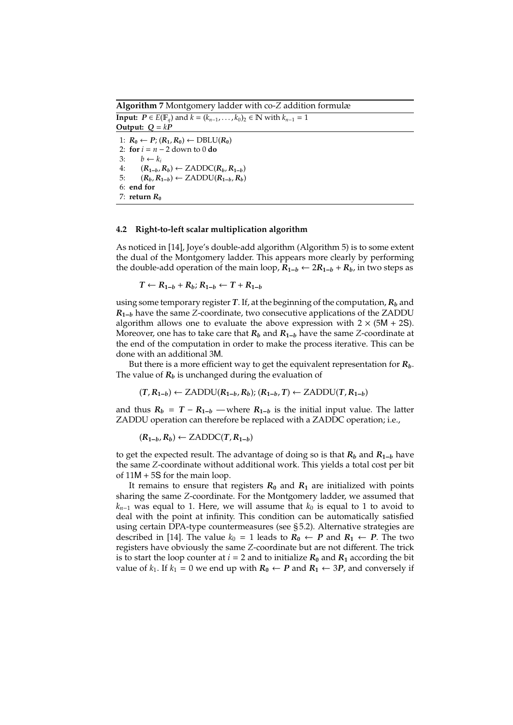**Algorithm 7** Montgomery ladder with co-*Z* addition formulæ **Input:**  $P \in E(\mathbb{F}_q)$  and  $k = (k_{n-1}, \ldots, k_0)_2 \in \mathbb{N}$  with  $k_{n-1} = 1$ **Output:**  $Q = kP$ 1:  $R_0 \leftarrow P$ ;  $(R_1, R_0) \leftarrow \text{DBLU}(R_0)$ 2: **for**  $i = n - 2$  down to 0 **do** 3:  $b \leftarrow k_i$ 4: (*R***1**−*b*, *Rb*) ← ZADDC(*Rb*, *R***1**−*b*) 5:  $(R_b, R_{1-b}) \leftarrow \text{ZADDU}(R_{1-b}, R_b)$ 6: **end for** 7: **return**  $R_0$ 

#### **4.2 Right-to-left scalar multiplication algorithm**

As noticed in [14], Joye's double-add algorithm (Algorithm 5) is to some extent the dual of the Montgomery ladder. This appears more clearly by performing the double-add operation of the main loop,  $R_{1-b}$  ←  $2R_{1-b}$  +  $R_b$ , in two steps as

*T* ←  $R_{1-b}$  +  $R_b$ ;  $R_{1-b}$  ←  $T$  +  $R_{1-b}$ 

using some temporary register *T*. If, at the beginning of the computation, *R<sup>b</sup>* and *R***1**−*<sup>b</sup>* have the same *Z*-coordinate, two consecutive applications of the ZADDU algorithm allows one to evaluate the above expression with  $2 \times (5M + 2S)$ . Moreover, one has to take care that *R<sup>b</sup>* and *R***1**−*<sup>b</sup>* have the same *Z*-coordinate at the end of the computation in order to make the process iterative. This can be done with an additional 3M.

But there is a more efficient way to get the equivalent representation for  $R_b$ . The value of  $R_b$  is unchanged during the evaluation of

$$
(T, R_{1-b}) \leftarrow \text{ZADDU}(R_{1-b}, R_b); (R_{1-b}, T) \leftarrow \text{ZADDU}(T, R_{1-b})
$$

and thus  $R_b = T - R_{1-b}$  — where  $R_{1-b}$  is the initial input value. The latter ZADDU operation can therefore be replaced with a ZADDC operation; i.e.,

 $(R_{1-b}, R_b) \leftarrow$  ZADDC(*T*,  $R_{1-b}$ )

to get the expected result. The advantage of doing so is that *R<sup>b</sup>* and *R***1**−*<sup>b</sup>* have the same *Z*-coordinate without additional work. This yields a total cost per bit of 11M + 5S for the main loop.

It remains to ensure that registers  $R_0$  and  $R_1$  are initialized with points sharing the same *Z*-coordinate. For the Montgomery ladder, we assumed that  $k_{n-1}$  was equal to 1. Here, we will assume that  $k_0$  is equal to 1 to avoid to deal with the point at infinity. This condition can be automatically satisfied using certain DPA-type countermeasures (see § 5.2). Alternative strategies are described in [14]. The value  $k_0 = 1$  leads to  $R_0 \leftarrow P$  and  $R_1 \leftarrow P$ . The two registers have obviously the same *Z*-coordinate but are not different. The trick is to start the loop counter at  $i = 2$  and to initialize  $R_0$  and  $R_1$  according the bit value of  $k_1$ . If  $k_1$  = 0 we end up with  $R_0$  ← P and  $R_1$  ← 3P, and conversely if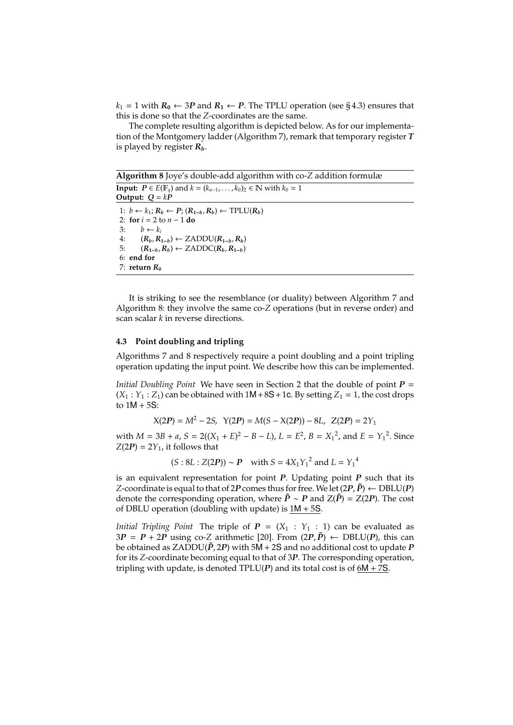$k_1$  = 1 with  $R_0$  ← 3*P* and  $R_1$  ← *P*. The TPLU operation (see §4.3) ensures that this is done so that the *Z*-coordinates are the same.

The complete resulting algorithm is depicted below. As for our implementation of the Montgomery ladder (Algorithm 7), remark that temporary register *T* is played by register *Rb*.

**Algorithm 8** Joye's double-add algorithm with co-*Z* addition formulæ **Input:**  $P \in E(\mathbb{F}_q)$  and  $k = (k_{n-1}, \ldots, k_0)_2 \in \mathbb{N}$  with  $k_0 = 1$ 

**Output:**  $Q = kP$ 1: *b* ← *k*1; *R<sup>b</sup>* ← *P*; (*R***1**−*b*, *Rb*) ← TPLU(*Rb*) 2: **for** *i* = 2 to *n* − 1 **do** 3:  $b \leftarrow k_i$ <br>4:  $(R_h, R_1)$ 4:  $(R_b, R_{1-b}) \leftarrow \text{ZADDU}(R_{1-b}, R_b)$ <br>5:  $(R_{1-b}, R_b) \leftarrow \text{ZADDC}(R_b, R_{1-b})$  $(R_{1-b}, R_b)$  ← ZADDC $(R_b, R_{1-b})$ 6: **end for** 7: **return**  $R_0$ 

It is striking to see the resemblance (or duality) between Algorithm 7 and Algorithm 8: they involve the same co-*Z* operations (but in reverse order) and scan scalar *k* in reverse directions.

#### **4.3 Point doubling and tripling**

Algorithms 7 and 8 respectively require a point doubling and a point tripling operation updating the input point. We describe how this can be implemented.

*Initial Doubling Point* We have seen in Section 2 that the double of point *P* =  $(X_1 : Y_1 : Z_1)$  can be obtained with  $1M + 8S + 1c$ . By setting  $Z_1 = 1$ , the cost drops to  $1M + 5S$ :

$$
X(2P) = M^2 - 2S, \ Y(2P) = M(S - X(2P)) - 8L, \ Z(2P) = 2Y_1
$$

with  $M = 3B + a$ ,  $S = 2((X_1 + E)^2 - B - L)$ ,  $L = E^2$ ,  $B = X_1^2$ , and  $E = Y_1^2$ . Since  $Z(2P) = 2Y_1$ , it follows that

$$
(S: 8L : Z(2P)) \sim P
$$
 with  $S = 4X_1Y_1^2$  and  $L = Y_1^4$ 

is an equivalent representation for point *P*. Updating point *P* such that its *Z*-coordinate is equal to that of 2*P* comes thus for free. We let  $(2P, \tilde{P}) \leftarrow \text{DBLU}(P)$ denote the corresponding operation, where  $\tilde{P} \sim P$  and  $Z(\tilde{P}) = Z(2P)$ . The cost of DBLU operation (doubling with update) is  $1M + 5S$ .

*Initial Tripling Point* The triple of  $P = (X_1 : Y_1 : 1)$  can be evaluated as  $3P = P + 2P$  using co-*Z* arithmetic [20]. From  $(2P, \tilde{P}) \leftarrow \text{DBLU}(P)$ , this can be obtained as ZADDU( $\tilde{P}$ , 2 $P$ ) with 5M + 2S and no additional cost to update  $P$ for its *Z*-coordinate becoming equal to that of 3*P*. The corresponding operation, tripling with update, is denoted  $TPLU(P)$  and its total cost is of  $6M + 7S$ .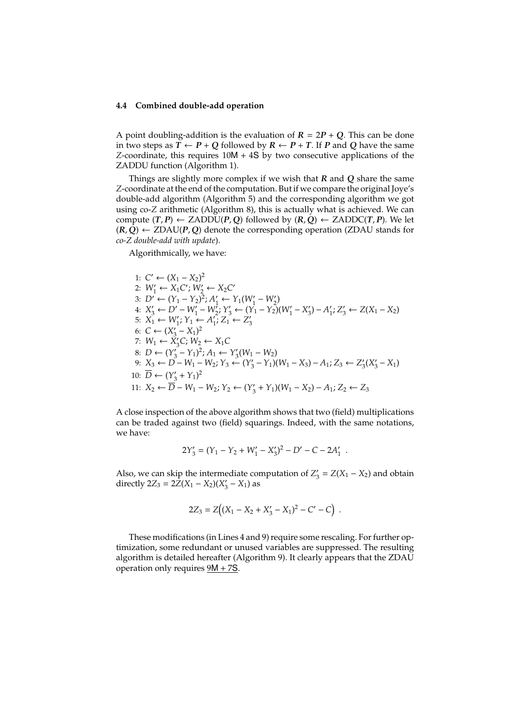#### **4.4 Combined double-add operation**

A point doubling-addition is the evaluation of  $R = 2P + Q$ . This can be done in two steps as  $\overline{T} \leftarrow P + Q$  followed by  $R \leftarrow P + T$ . If P and Q have the same *Z*-coordinate, this requires 10M + 4S by two consecutive applications of the ZADDU function (Algorithm 1).

Things are slightly more complex if we wish that *R* and *Q* share the same *Z*-coordinate at the end of the computation. But if we compare the original Joye's double-add algorithm (Algorithm 5) and the corresponding algorithm we got using co-*Z* arithmetic (Algorithm 8), this is actually what is achieved. We can compute  $(T, P) \leftarrow ZADDU(P, Q)$  followed by  $(R, Q) \leftarrow ZADDC(T, P)$ . We let  $(R, Q) \leftarrow ZDAU(P, Q)$  denote the corresponding operation (ZDAU stands for *co-Z double-add with update*).

Algorithmically, we have:

1: 
$$
C' \leftarrow (X_1 - X_2)^2
$$
  
\n2:  $W'_1 \leftarrow X_1C'; W'_2 \leftarrow X_2C'$   
\n3:  $D' \leftarrow (Y_1 - Y_2)^2; A'_1 \leftarrow Y_1(W'_1 - W'_2)$   
\n4:  $X'_3 \leftarrow D' - W'_1 - W'_2; Y'_3 \leftarrow (Y_1 - Y_2)(W'_1 - X'_3) - A'_1; Z'_3 \leftarrow Z(X_1 - X_2)$   
\n5:  $X_1 \leftarrow W'_1; Y_1 \leftarrow A'_1; Z_1 \leftarrow Z'_3$   
\n6:  $C \leftarrow (X'_3 - X_1)^2$   
\n7:  $W_1 \leftarrow X'_3C; W_2 \leftarrow X_1C$   
\n8:  $D \leftarrow (Y'_3 - Y_1)^2; A_1 \leftarrow Y'_3(W_1 - W_2)$   
\n9:  $X_3 \leftarrow D - W_1 - W_2; Y_3 \leftarrow (Y'_3 - Y_1)(W_1 - X_3) - A_1; Z_3 \leftarrow Z'_3(X'_3 - X_1)$   
\n10:  $\overline{D} \leftarrow (Y'_3 + Y_1)^2$   
\n11:  $X_2 \leftarrow \overline{D} - W_1 - W_2; Y_2 \leftarrow (Y'_3 + Y_1)(W_1 - X_2) - A_1; Z_2 \leftarrow Z_3$ 

A close inspection of the above algorithm shows that two (field) multiplications can be traded against two (field) squarings. Indeed, with the same notations, we have:

$$
2Y_3' = (Y_1 - Y_2 + W_1' - X_3')^2 - D' - C - 2A_1'.
$$

Also, we can skip the intermediate computation of *Z* 0  $X'_3 = Z(X_1 - X_2)$  and obtain directly 2*Z*<sub>3</sub> = 2*Z*(*X*<sub>1</sub> – *X*<sub>2</sub>)(*X*<sup>2</sup><sub>3</sub>)  $y'_{3} - X_{1}$ ) as

$$
2Z_3 = Z((X_1 - X_2 + X'_3 - X_1)^2 - C' - C).
$$

These modifications (in Lines 4 and 9) require some rescaling. For further optimization, some redundant or unused variables are suppressed. The resulting algorithm is detailed hereafter (Algorithm 9). It clearly appears that the ZDAU operation only requires  $9M + 7S$ .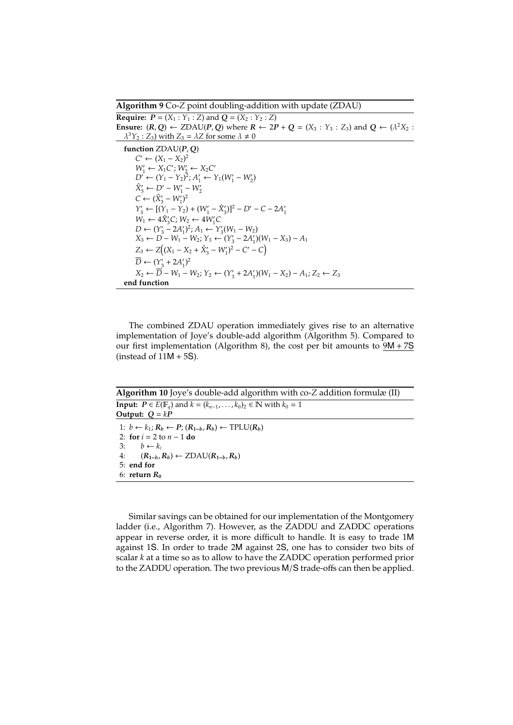**Algorithm 9** Co-*Z* point doubling-addition with update (ZDAU)

**Require:**  $P = (X_1 : Y_1 : Z)$  and  $Q = (X_2 : Y_2 : Z)$ **Ensure:**  $(R, Q) \leftarrow \text{ZDAU}(P, Q)$  where  $R \leftarrow 2P + Q = (X_3 : Y_3 : Z_3)$  and  $Q \leftarrow (\lambda^2 X_2 : Z_3)$  $\lambda^{3}Y_{2}$ : *Z*<sub>3</sub>) with *Z*<sub>3</sub> =  $\lambda$ *Z* for some  $\lambda \neq 0$ **function** ZDAU(*P*, *Q*)  $C'$  ←  $(X_1 - X_2)^2$  $W'_1 \leftarrow X_1 C'$ ;  $W'_2 \leftarrow X_2 C'$  $D' \leftarrow (Y_1 - Y_2)^2; A'_1 \leftarrow Y_1(W'_1 - W'_2)$  $\hat{X}'_3$  ← *D'* − *W*<sub>1</sub>′ − *W*<sub>2</sub><sup>*i*</sup>  $C \leftarrow (\hat{X}'_3 - W'_1)^2$ *Y*<sub>3</sub> ←  $[(Y_1 - Y_2) + (W'_1 - \hat{X}'_3)]^2 - D' - C - 2A'_1$ 1  $W_1 \leftarrow 4\hat{X}_3'C$ ;  $W_2 \leftarrow 4W_1'C$ *D* ←  $(Y'_3 - 2A'_1)$  $(Y_1)^2$ ;  $A_1 \leftarrow Y_3'(W_1 - W_2)$ *X*<sub>3</sub> ← *D*<sup> $-$ </sup> *W*<sub>1</sub> − *W*<sub>2</sub>; *Y*<sub>3</sub> ← (*Y*<sub>3</sub> − 2*A*<sub>1</sub>  $Y_1$ <sup>(</sup> $W_1 - X_3$ ) –  $A_1$  $Z_3 \leftarrow Z[(X_1 - X_2 + \hat{X}'_3 - W'_1)^2 - C' - C]$  $\overline{D} \leftarrow (Y_3' + 2A_1'$  $'_{1})^{2}$ *X*<sub>2</sub> ←  $\overline{D}$  – *W*<sub>1</sub> – *W*<sub>2</sub>; *Y*<sub>2</sub> ← (*Y*<sup> $\prime$ </sup><sub>3</sub> + 2*A*<sup> $\prime$ </sup><sub>1</sub>  $(X_1)'(W_1 - X_2) - A_1; Z_2 \leftarrow Z_3$ **end function**

The combined ZDAU operation immediately gives rise to an alternative implementation of Joye's double-add algorithm (Algorithm 5). Compared to our first implementation (Algorithm 8), the cost per bit amounts to  $9M + 7S$ (instead of  $11M + 5S$ ).

**Algorithm 10** Joye's double-add algorithm with co-*Z* addition formulæ (II) **Input:**  $P \in E(\mathbb{F}_q)$  and  $k = (k_{n-1}, \ldots, k_0)_2 \in \mathbb{N}$  with  $k_0 = 1$ **Output:**  $Q = kP$ 

1: *b* ← *k*1; *R<sup>b</sup>* ← *P*; (*R***1**−*b*, *Rb*) ← TPLU(*Rb*) 2: **for**  $i = 2$  to  $n - 1$  **do**<br>3:  $b \leftarrow k_i$  $b \leftarrow k_i$ 4: (*R***1**−*b*, *Rb*) ← ZDAU(*R***1**−*b*, *Rb*) 5: **end for** 6: **return**  $R_0$ 

Similar savings can be obtained for our implementation of the Montgomery ladder (i.e., Algorithm 7). However, as the ZADDU and ZADDC operations appear in reverse order, it is more difficult to handle. It is easy to trade 1M against 1S. In order to trade 2M against 2S, one has to consider two bits of scalar *k* at a time so as to allow to have the ZADDC operation performed prior to the ZADDU operation. The two previous M/S trade-offs can then be applied.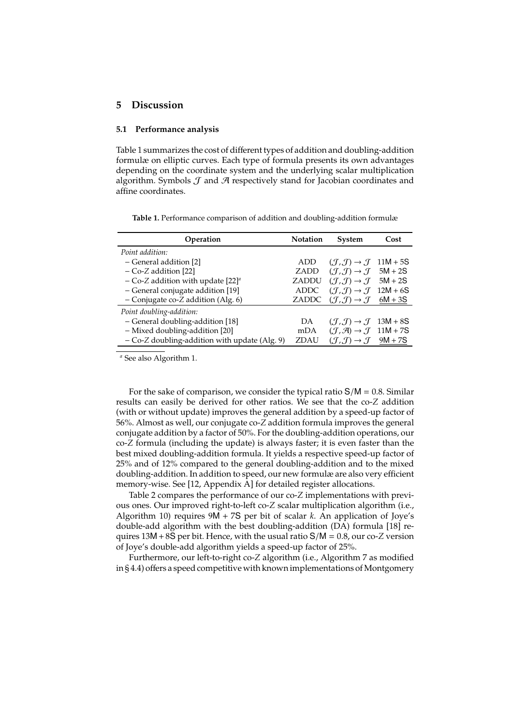# **5 Discussion**

#### **5.1 Performance analysis**

Table 1 summarizes the cost of different types of addition and doubling-addition formulæ on elliptic curves. Each type of formula presents its own advantages depending on the coordinate system and the underlying scalar multiplication algorithm. Symbols  $J$  and  $A$  respectively stand for Jacobian coordinates and affine coordinates.

**Table 1.** Performance comparison of addition and doubling-addition formulæ

| Operation                                       | <b>Notation</b> | System                                                        | Cost      |
|-------------------------------------------------|-----------------|---------------------------------------------------------------|-----------|
| Point addition:                                 |                 |                                                               |           |
| - General addition [2]                          | ADD             | $(\mathcal{J}, \mathcal{J}) \rightarrow \mathcal{J}$ 11M + 5S |           |
| $-Co-Z$ addition [22]                           | <b>ZADD</b>     | $(\mathcal{J}, \mathcal{J}) \rightarrow \mathcal{J}$ 5M + 2S  |           |
| - Co-Z addition with update $[22]^a$            | ZADDU           | $(\mathcal{J}, \mathcal{J}) \rightarrow \mathcal{J}$          | $5M + 2S$ |
| - General conjugate addition [19]               | <b>ADDC</b>     | $(\mathcal{J}, \mathcal{J}) \rightarrow \mathcal{J}$ 12M + 6S |           |
| - Conjugate co-Z addition (Alg. $6$ )           | ZADDC           | $(\mathcal{J}, \mathcal{J}) \rightarrow \mathcal{J}$ 6M + 3S  |           |
| Point doubling-addition:                        |                 |                                                               |           |
| - General doubling-addition [18]                | DA              | $(\mathcal{J}, \mathcal{J}) \rightarrow \mathcal{J}$ 13M + 8S |           |
| - Mixed doubling-addition [20]                  | mDA             | $(\mathcal{J}, \mathcal{A}) \rightarrow \mathcal{J}$ 11M + 7S |           |
| $-$ Co-Z doubling-addition with update (Alg. 9) | <b>ZDAU</b>     | $(\mathcal{J},\mathcal{J})\rightarrow \mathcal{J}$            | $9M + 7S$ |

*<sup>a</sup>* See also Algorithm 1.

For the sake of comparison, we consider the typical ratio  $S/M = 0.8$ . Similar results can easily be derived for other ratios. We see that the co-*Z* addition (with or without update) improves the general addition by a speed-up factor of 56%. Almost as well, our conjugate co-*Z* addition formula improves the general conjugate addition by a factor of 50%. For the doubling-addition operations, our co-*Z* formula (including the update) is always faster; it is even faster than the best mixed doubling-addition formula. It yields a respective speed-up factor of 25% and of 12% compared to the general doubling-addition and to the mixed doubling-addition. In addition to speed, our new formulæ are also very efficient memory-wise. See [12, Appendix A] for detailed register allocations.

Table 2 compares the performance of our co-*Z* implementations with previous ones. Our improved right-to-left co-*Z* scalar multiplication algorithm (i.e., Algorithm 10) requires 9M + 7S per bit of scalar *k*. An application of Joye's double-add algorithm with the best doubling-addition (DA) formula [18] requires 13M +8S per bit. Hence, with the usual ratio S/M = 0.8, our co-*Z* version of Joye's double-add algorithm yields a speed-up factor of 25%.

Furthermore, our left-to-right co-*Z* algorithm (i.e., Algorithm 7 as modified  $in$   $§$  4.4) offers a speed competitive with known implementations of Montgomery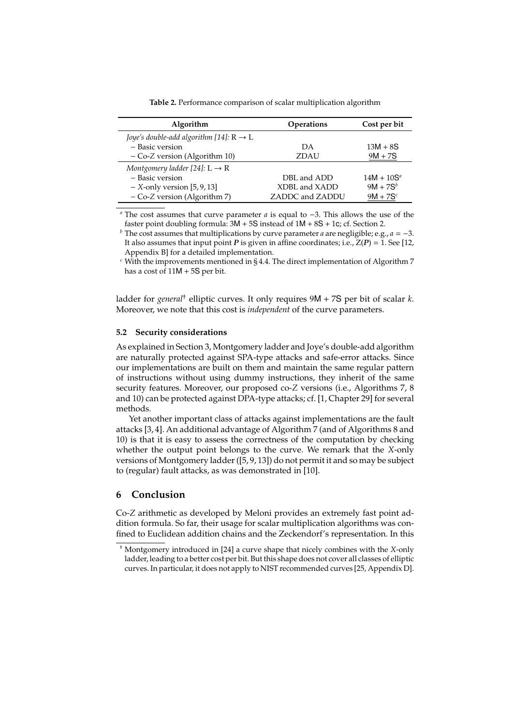**Table 2.** Performance comparison of scalar multiplication algorithm

| Algorithm                                           | <b>Operations</b> | Cost per bit  |
|-----------------------------------------------------|-------------------|---------------|
| Joye's double-add algorithm [14]: $R \rightarrow L$ |                   |               |
| - Basic version                                     | DA                | $13M + 8S$    |
| $-Co-Z$ version (Algorithm 10)                      | <b>ZDAU</b>       | $9M + 7S$     |
| Montgomery ladder [24]: $L \rightarrow R$           |                   |               |
| - Basic version                                     | DBL and ADD       | $14M + 10S^a$ |
| $-$ X-only version [5, 9, 13]                       | XDBL and XADD     | $9M + 7S^b$   |
| - Co-Z version (Algorithm 7)                        | ZADDC and ZADDU   | $9M + 7S^c$   |

*<sup>a</sup>* The cost assumes that curve parameter *a* is equal to −3. This allows the use of the faster point doubling formula:  $3M + 5S$  instead of  $1M + 8S + 1c$ ; cf. Section 2.

*b* The cost assumes that multiplications by curve parameter *a* are negligible; e.g., *a* = −3. It also assumes that input point *P* is given in affine coordinates; i.e.,  $Z(P) = 1$ . See [12, Appendix B] for a detailed implementation.

*<sup>c</sup>* With the improvements mentioned in § 4.4. The direct implementation of Algorithm 7 has a cost of 11M + 5S per bit.

ladder for *general*† elliptic curves. It only requires 9M + 7S per bit of scalar *k*. Moreover, we note that this cost is *independent* of the curve parameters.

#### **5.2 Security considerations**

As explained in Section 3, Montgomery ladder and Joye's double-add algorithm are naturally protected against SPA-type attacks and safe-error attacks. Since our implementations are built on them and maintain the same regular pattern of instructions without using dummy instructions, they inherit of the same security features. Moreover, our proposed co-*Z* versions (i.e., Algorithms 7, 8 and 10) can be protected against DPA-type attacks; cf. [1, Chapter 29] for several methods.

Yet another important class of attacks against implementations are the fault attacks [3, 4]. An additional advantage of Algorithm 7 (and of Algorithms 8 and 10) is that it is easy to assess the correctness of the computation by checking whether the output point belongs to the curve. We remark that the *X*-only versions of Montgomery ladder ([5, 9, 13]) do not permit it and so may be subject to (regular) fault attacks, as was demonstrated in [10].

## **6 Conclusion**

Co-*Z* arithmetic as developed by Meloni provides an extremely fast point addition formula. So far, their usage for scalar multiplication algorithms was confined to Euclidean addition chains and the Zeckendorf's representation. In this

<sup>†</sup> Montgomery introduced in [24] a curve shape that nicely combines with the *X*-only ladder, leading to a better cost per bit. But this shape does not cover all classes of elliptic curves. In particular, it does not apply to NIST recommended curves [25, Appendix D].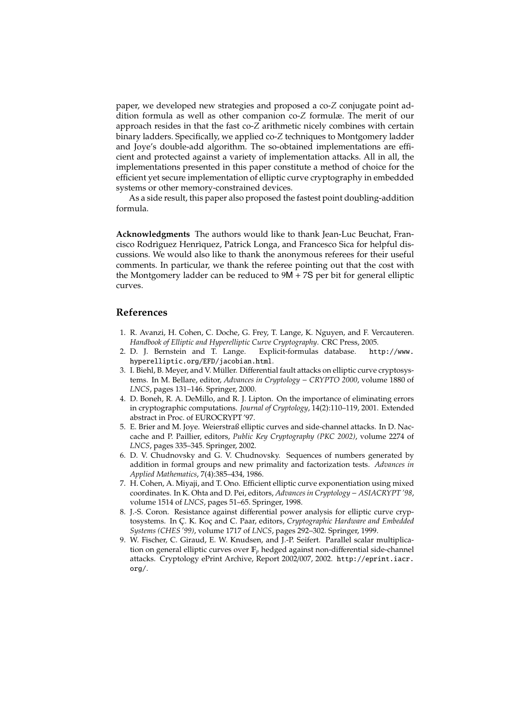paper, we developed new strategies and proposed a co-*Z* conjugate point addition formula as well as other companion co-*Z* formulæ. The merit of our approach resides in that the fast co-*Z* arithmetic nicely combines with certain binary ladders. Specifically, we applied co-*Z* techniques to Montgomery ladder and Joye's double-add algorithm. The so-obtained implementations are efficient and protected against a variety of implementation attacks. All in all, the implementations presented in this paper constitute a method of choice for the efficient yet secure implementation of elliptic curve cryptography in embedded systems or other memory-constrained devices.

As a side result, this paper also proposed the fastest point doubling-addition formula.

**Acknowledgments** The authors would like to thank Jean-Luc Beuchat, Francisco Rodrìguez Henrìquez, Patrick Longa, and Francesco Sica for helpful discussions. We would also like to thank the anonymous referees for their useful comments. In particular, we thank the referee pointing out that the cost with the Montgomery ladder can be reduced to 9M + 7S per bit for general elliptic curves.

#### **References**

- 1. R. Avanzi, H. Cohen, C. Doche, G. Frey, T. Lange, K. Nguyen, and F. Vercauteren.
- *Handbook of Elliptic and Hyperelliptic Curve Cryptography*. CRC Press, 2005. 2. D. J. Bernstein and T. Lange. Explicit-formulas database. http://www. hyperelliptic.org/EFD/jacobian.html.
- 3. I. Biehl, B. Meyer, and V. Müller. Differential fault attacks on elliptic curve cryptosystems. In M. Bellare, editor, *Advances in Cryptology* − *CRYPTO 2000*, volume 1880 of *LNCS*, pages 131–146. Springer, 2000.
- 4. D. Boneh, R. A. DeMillo, and R. J. Lipton. On the importance of eliminating errors in cryptographic computations. *Journal of Cryptology*, 14(2):110–119, 2001. Extended abstract in Proc. of EUROCRYPT '97.
- 5. E. Brier and M. Joye. Weierstraß elliptic curves and side-channel attacks. In D. Naccache and P. Paillier, editors, *Public Key Cryptography (PKC 2002)*, volume 2274 of *LNCS*, pages 335–345. Springer, 2002.
- 6. D. V. Chudnovsky and G. V. Chudnovsky. Sequences of numbers generated by addition in formal groups and new primality and factorization tests. *Advances in Applied Mathematics*, 7(4):385–434, 1986.
- 7. H. Cohen, A. Miyaji, and T. Ono. Efficient elliptic curve exponentiation using mixed coordinates. In K. Ohta and D. Pei, editors, *Advances in Cryptology* − *ASIACRYPT '98*, volume 1514 of *LNCS*, pages 51–65. Springer, 1998.
- 8. J.-S. Coron. Resistance against differential power analysis for elliptic curve cryptosystems. In C¸ . K. Koc¸ and C. Paar, editors, *Cryptographic Hardware and Embedded Systems (CHES '99)*, volume 1717 of *LNCS*, pages 292–302. Springer, 1999.
- 9. W. Fischer, C. Giraud, E. W. Knudsen, and J.-P. Seifert. Parallel scalar multiplication on general elliptic curves over F*<sup>p</sup>* hedged against non-differential side-channel attacks. Cryptology ePrint Archive, Report 2002/007, 2002. http://eprint.iacr. org/.